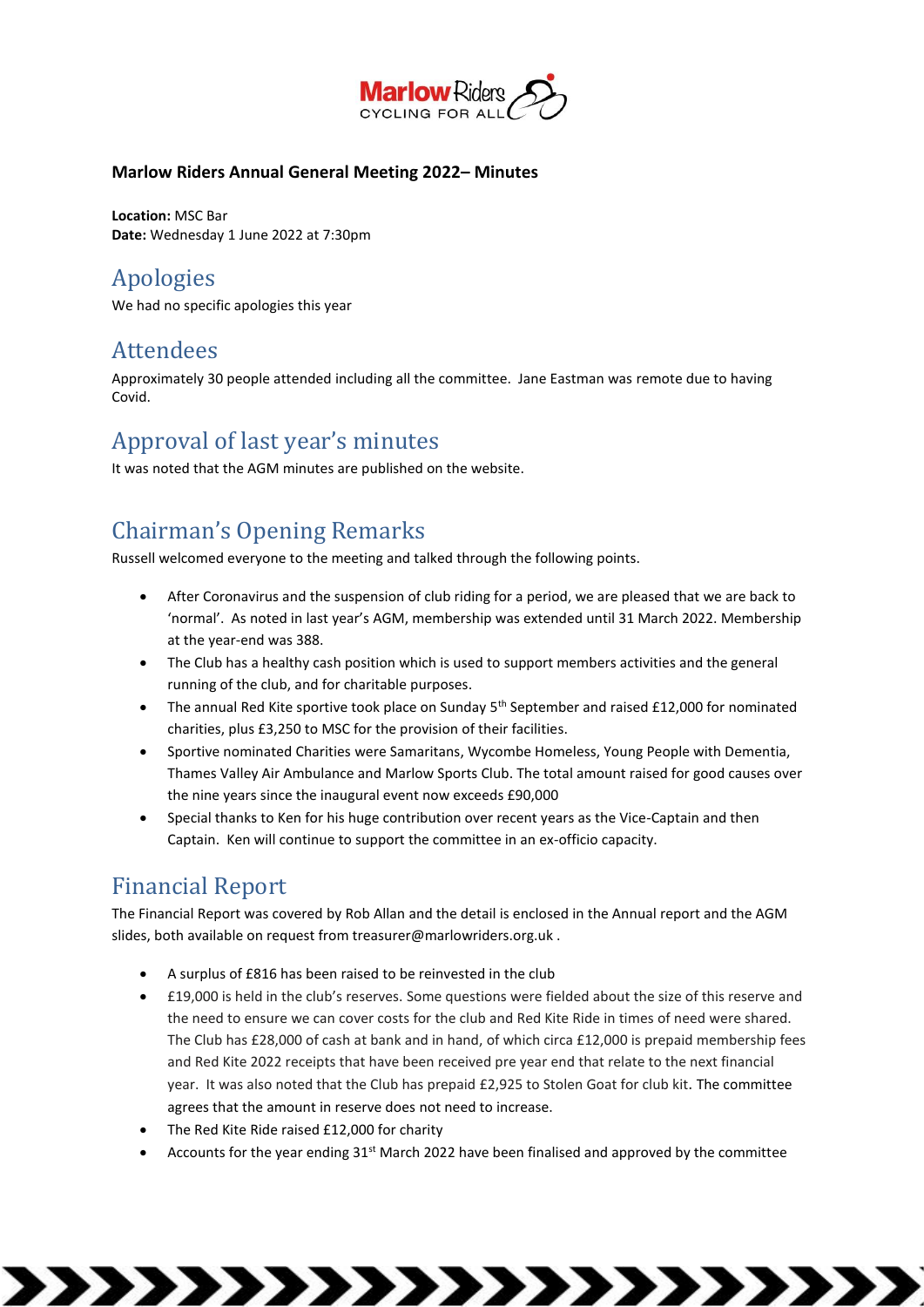

#### **Marlow Riders Annual General Meeting 2022– Minutes**

**Location:** MSC Bar **Date:** Wednesday 1 June 2022 at 7:30pm

## Apologies

We had no specific apologies this year

### **Attendees**

Approximately 30 people attended including all the committee. Jane Eastman was remote due to having **Covid** 

## Approval of last year's minutes

It was noted that the AGM minutes are published on the website.

# Chairman's Opening Remarks

Russell welcomed everyone to the meeting and talked through the following points.

- After Coronavirus and the suspension of club riding for a period, we are pleased that we are back to 'normal'. As noted in last year's AGM, membership was extended until 31 March 2022. Membership at the year-end was 388.
- The Club has a healthy cash position which is used to support members activities and the general running of the club, and for charitable purposes.
- The annual Red Kite sportive took place on Sunday 5<sup>th</sup> September and raised £12,000 for nominated charities, plus £3,250 to MSC for the provision of their facilities.
- Sportive nominated Charities were Samaritans, Wycombe Homeless, Young People with Dementia, Thames Valley Air Ambulance and Marlow Sports Club. The total amount raised for good causes over the nine years since the inaugural event now exceeds £90,000
- Special thanks to Ken for his huge contribution over recent years as the Vice-Captain and then Captain. Ken will continue to support the committee in an ex-officio capacity.

## Financial Report

The Financial Report was covered by Rob Allan and the detail is enclosed in the Annual report and the AGM slides, both available on request from treasurer@marlowriders.org.uk .

- A surplus of £816 has been raised to be reinvested in the club
- £19,000 is held in the club's reserves. Some questions were fielded about the size of this reserve and the need to ensure we can cover costs for the club and Red Kite Ride in times of need were shared. The Club has £28,000 of cash at bank and in hand, of which circa £12,000 is prepaid membership fees and Red Kite 2022 receipts that have been received pre year end that relate to the next financial year. It was also noted that the Club has prepaid £2,925 to Stolen Goat for club kit. The committee agrees that the amount in reserve does not need to increase.
- The Red Kite Ride raised £12,000 for charity
- Accounts for the year ending 31<sup>st</sup> March 2022 have been finalised and approved by the committee

,,,,,,,,,,,,,,,,,,,,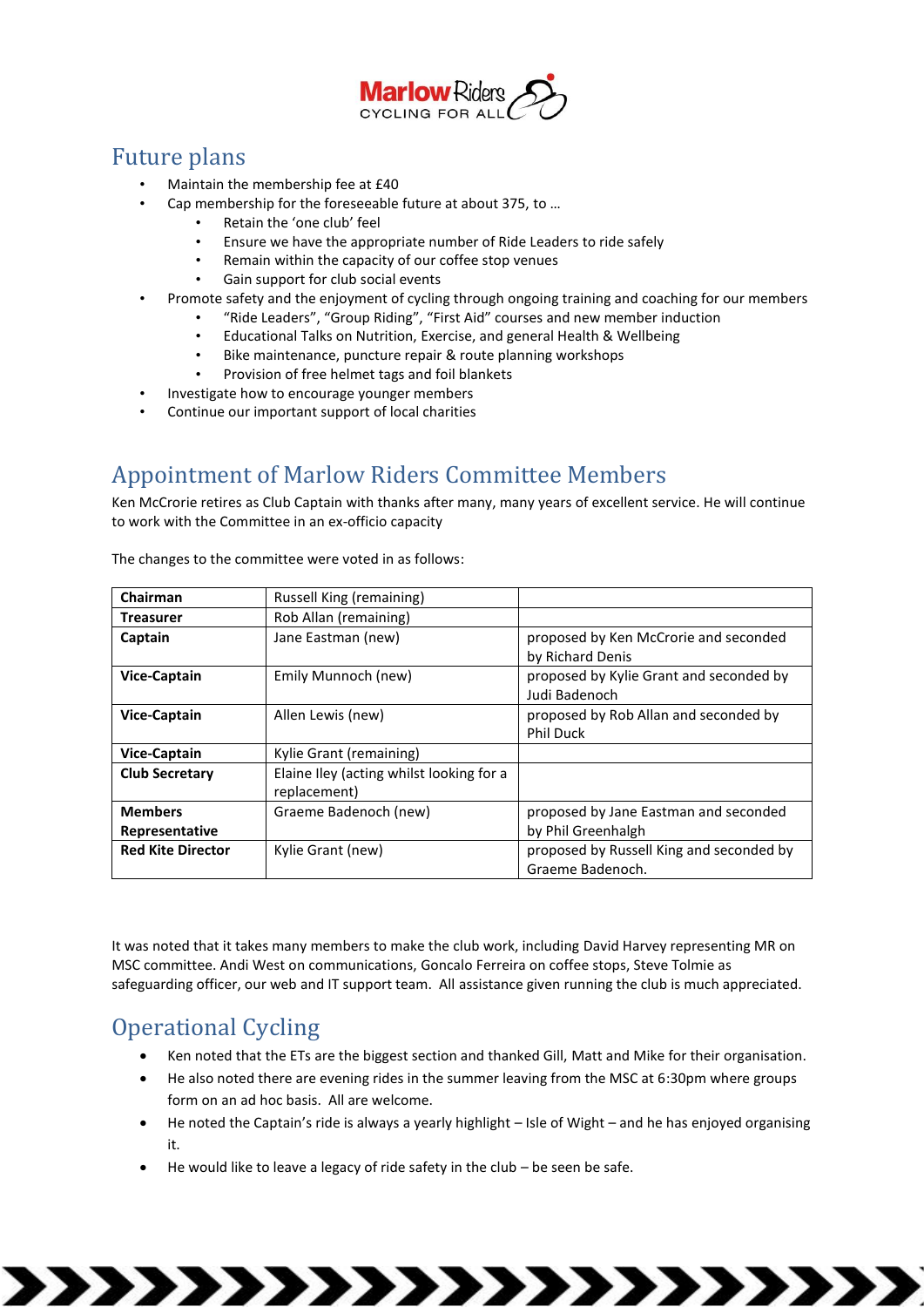

### Future plans

- Maintain the membership fee at £40
	- Cap membership for the foreseeable future at about 375, to …
		- Retain the 'one club' feel
		- Ensure we have the appropriate number of Ride Leaders to ride safely
		- Remain within the capacity of our coffee stop venues
		- Gain support for club social events
- Promote safety and the enjoyment of cycling through ongoing training and coaching for our members
	- "Ride Leaders", "Group Riding", "First Aid" courses and new member induction
		- Educational Talks on Nutrition, Exercise, and general Health & Wellbeing
		- Bike maintenance, puncture repair & route planning workshops
		- Provision of free helmet tags and foil blankets
- Investigate how to encourage younger members
- Continue our important support of local charities

## Appointment of Marlow Riders Committee Members

Ken McCrorie retires as Club Captain with thanks after many, many years of excellent service. He will continue to work with the Committee in an ex-officio capacity

| Chairman                 | Russell King (remaining)                                 |                                                              |
|--------------------------|----------------------------------------------------------|--------------------------------------------------------------|
| <b>Treasurer</b>         | Rob Allan (remaining)                                    |                                                              |
| Captain                  | Jane Eastman (new)                                       | proposed by Ken McCrorie and seconded<br>by Richard Denis    |
| <b>Vice-Captain</b>      | Emily Munnoch (new)                                      | proposed by Kylie Grant and seconded by<br>Judi Badenoch     |
| <b>Vice-Captain</b>      | Allen Lewis (new)                                        | proposed by Rob Allan and seconded by<br><b>Phil Duck</b>    |
| <b>Vice-Captain</b>      | Kylie Grant (remaining)                                  |                                                              |
| <b>Club Secretary</b>    | Elaine Iley (acting whilst looking for a<br>replacement) |                                                              |
| <b>Members</b>           | Graeme Badenoch (new)                                    | proposed by Jane Eastman and seconded                        |
| Representative           |                                                          | by Phil Greenhalgh                                           |
| <b>Red Kite Director</b> | Kylie Grant (new)                                        | proposed by Russell King and seconded by<br>Graeme Badenoch. |

The changes to the committee were voted in as follows:

It was noted that it takes many members to make the club work, including David Harvey representing MR on MSC committee. Andi West on communications, Goncalo Ferreira on coffee stops, Steve Tolmie as safeguarding officer, our web and IT support team. All assistance given running the club is much appreciated.

## Operational Cycling

- Ken noted that the ETs are the biggest section and thanked Gill, Matt and Mike for their organisation.
- He also noted there are evening rides in the summer leaving from the MSC at 6:30pm where groups form on an ad hoc basis. All are welcome.
- He noted the Captain's ride is always a yearly highlight Isle of Wight and he has enjoyed organising it.

,,,,,,,,,,,,,,,,,,,

• He would like to leave a legacy of ride safety in the club – be seen be safe.